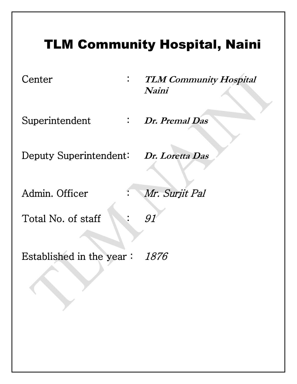# TLM Community Hospital, Naini

- 
- Center : **TLM Community Hospital Naini**
- Superintendent : *Dr. Premal Das* 
	-
- Deputy Superintendent: Dr. Loretta Das
	-
- Admin. Officer : Mr. Surjit Pal
- Total No. of staff : 91
- Established in the year : 1876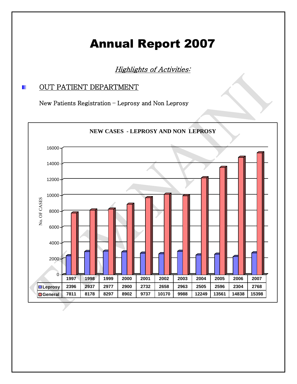# Annual Report 2007

Highlights of Activities:

## **DEPARTMENT**

New Patients Registration – Leprosy and Non Leprosy

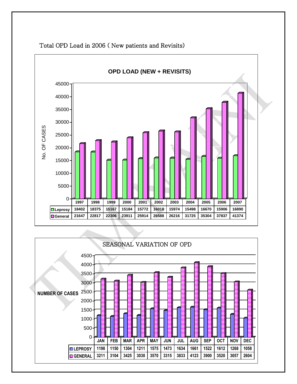

Total OPD Load in 2006 ( New patients and Revisits)

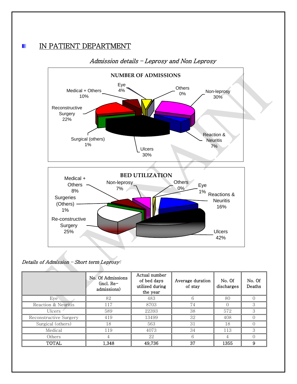# IN PATIENT DEPARTMENT



### Admission details – Leprosy and Non Leprosy

Details of Admission – Short term Leprosy:

|                        | No. Of Admissions<br>$(incl. Re-$<br>admissions) | Actual number<br>of bed days<br>utilized during<br>the year | Average duration<br>of stay | No. Of<br>discharges | No. Of<br>Deaths |
|------------------------|--------------------------------------------------|-------------------------------------------------------------|-----------------------------|----------------------|------------------|
| Eye                    | 82                                               | 483                                                         | h                           | 80                   |                  |
| Reaction & Neuritis    | 117                                              | 8703                                                        | 74                          |                      | 3                |
| Ulcers                 | 589                                              | 22393                                                       | 38                          | 572                  | З                |
| Reconstructive Surgery | 419                                              | 13499                                                       | 32                          | 408                  |                  |
| Surgical (others)      | 18                                               | 563                                                         | 31                          | 18                   |                  |
| Medical                | 119                                              | 4073                                                        | 34                          | 113                  | З                |
| Others                 |                                                  | 22                                                          | 6                           |                      |                  |
| TOTAL                  | 1,348                                            | 49,736                                                      | 37                          | 1355                 |                  |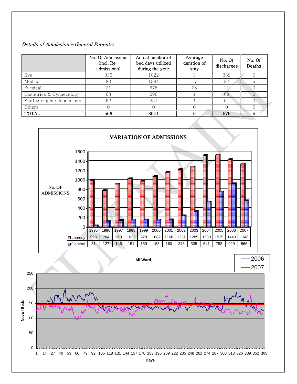#### Details of Admission – General Patients:

|                             | No. Of Admissions<br>$(incl. Re-)$<br>admissions) | Actual number of<br>bed days utilized<br>during the year | Average<br>duration of<br>stay | No. Of<br>discharges | No. Of<br>Deaths |
|-----------------------------|---------------------------------------------------|----------------------------------------------------------|--------------------------------|----------------------|------------------|
| Eye                         | 335                                               | 1022                                                     |                                | 339                  |                  |
| Medical                     | 80                                                | 1394                                                     |                                | 87                   |                  |
| Surgical                    | 21                                                | 578                                                      | 28                             | 21                   |                  |
| Obstetrics & Gynaecology    | 68                                                | 296                                                      |                                | 68                   | $\left( \right)$ |
| Staff & eligible dependants | 62                                                | 251                                                      |                                | 61                   |                  |
| Others                      |                                                   |                                                          |                                |                      |                  |
| <b>TOTAL</b>                | 566                                               | 3541                                                     | 6                              | 576                  | 5.               |



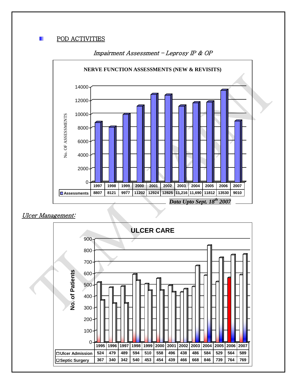#### п POD ACTIVITIES



#### Impairment Assessment – Leprosy IP & OP

#### Ulcer Management:

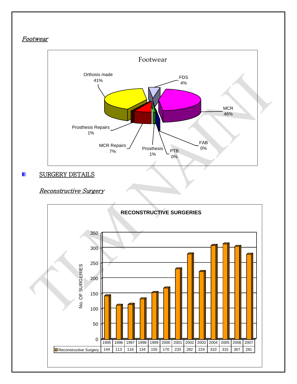### **Footwear**



#### SURGERY DETAILS п

### Reconstructive Surgery

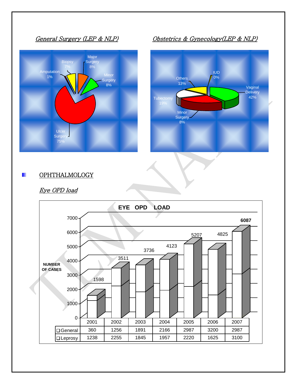



General Surgery (LEP & NLP) Obstetrics & Gynecology(LEP & NLP)



#### **OPHTHALMOLOGY** п

### Eye OPD load

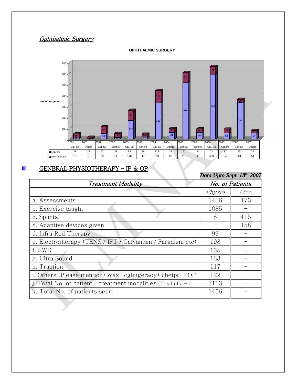### Ophthalmic Surgery



#### **OPHTHALMIC SURGERY**

#### п GENERAL PHYSIOTHERAPY – IP & OP

|                                                                    |        | Data Upto Sept. 18 <sup>th</sup> 2007 |
|--------------------------------------------------------------------|--------|---------------------------------------|
| <b>Treatment Modality</b>                                          |        | No. of Patients                       |
|                                                                    | Physio | Occ.                                  |
| a. Assessments                                                     | 1456   | 173                                   |
| b. Exercise taught                                                 | 1085   |                                       |
| c. Splints                                                         | 8      | 415                                   |
| d. Adaptive devices given                                          |        | 158                                   |
| d. Infra Red Therapy                                               | 99     |                                       |
| e. Electrotherapy (TENS / IFT / Galvanism / Faradism etc)          | 198    |                                       |
| f. SWD                                                             | 165    |                                       |
| g. Ultra Sound                                                     | 163    |                                       |
| h. Traction                                                        | 117    |                                       |
| i. Others (Please mention) Wax+ cgtnigeraoy+ chetpt+ POP           | 122    |                                       |
| j. Total No. of patient – treatment modalities (Total of $a - i$ ) | 3113   |                                       |
| k. Total No. of patients seen                                      | 1456   |                                       |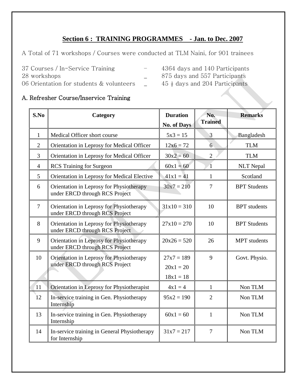### **Section 6 : TRAINING PROGRAMMES - Jan. to Dec. 2007**

A Total of 71 workshops / Courses were conducted at TLM Naini, for 901 trainees

- 
- 37 Courses / In-Service Training 4364 days and 140 Participants
- 
- 06 Orientation for students & volunteers  $\qquad \qquad -$  45  $\frac{1}{2}$  days and 204 Participants
- 28 workshops 28 workshops 28 workshops 28 workshops 28 workshops 28 workshops 28 workshops 28 workshops 28 workshops 28 workshops 28 workshops 28 workshops 28 workshops 28 workshops 28 workshops 28 workshops 28 workshops 2
	-
- 

### A. Refresher Course/Inservice Training

| S.No           | Category                                                                   | <b>Duration</b><br><b>No. of Days</b> | No.<br><b>Trained</b> | <b>Remarks</b>      |
|----------------|----------------------------------------------------------------------------|---------------------------------------|-----------------------|---------------------|
| $\mathbf{1}$   | Medical Officer short course                                               | $5x3 = 15$                            | 3                     | Bangladesh          |
| $\overline{2}$ | Orientation in Leprosy for Medical Officer                                 | $12x6 = 72$                           | $6 \overline{6}$      | <b>TLM</b>          |
| 3              | Orientation in Leprosy for Medical Officer                                 | $30x^2 = 60$                          | $\overline{2}$        | <b>TLM</b>          |
| $\overline{4}$ | <b>RCS</b> Training for Surgeon                                            | $60x1 = 60$                           | $\Delta$              | <b>NLT</b> Nepal    |
| 5              | Orientation in Leprosy for Medical Elective                                | $41x1 = 41$                           | 1                     | Scotland            |
| 6              | Orientation in Leprosy for Physiotherapy<br>under ERCD through RCS Project | $30x7 = 210$                          | $\overline{7}$        | <b>BPT</b> Students |
| $\overline{7}$ | Orientation in Leprosy for Physiotherapy<br>under ERCD through RCS Project | $31x10 = 310$                         | 10                    | <b>BPT</b> students |
| 8              | Orientation in Leprosy for Physiotherapy<br>under ERCD through RCS Project | $27x10 = 270$                         | 10                    | <b>BPT</b> Students |
| 9              | Orientation in Leprosy for Physiotherapy<br>under ERCD through RCS Project | $20x26 = 520$                         | 26                    | <b>MPT</b> students |
| 10             | Orientation in Leprosy for Physiotherapy                                   | $27x7 = 189$                          | 9                     | Govt. Physio.       |
|                | under ERCD through RCS Project                                             | $20x1 = 20$                           |                       |                     |
|                |                                                                            | $18x1 = 18$                           |                       |                     |
| 11             | Orientation in Leprosy for Physiotherapist                                 | $4x1 = 4$                             | $\mathbf{1}$          | Non TLM             |
| 12             | In-service training in Gen. Physiotherapy<br>Internship                    | $95x2 = 190$                          | $\overline{2}$        | Non TLM             |
| 13             | In-service training in Gen. Physiotherapy<br>Internship                    | $60x1 = 60$                           | $\mathbf{1}$          | Non TLM             |
| 14             | In-service training in General Physiotherapy<br>for Internship             | $31x7 = 217$                          | $\overline{7}$        | Non TLM             |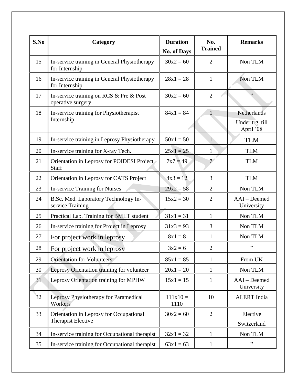| S.No | Category                                                       | <b>Duration</b><br><b>No. of Days</b> | No.<br><b>Trained</b> | <b>Remarks</b>                              |
|------|----------------------------------------------------------------|---------------------------------------|-----------------------|---------------------------------------------|
| 15   | In-service training in General Physiotherapy<br>for Internship | $30x^2 = 60$                          | 2                     | Non TLM                                     |
| 16   | In-service training in General Physiotherapy<br>for Internship | $28x1 = 28$                           | $\mathbf{1}$          | Non TLM                                     |
| 17   | In-service training on RCS & Pre & Post<br>operative surgery   | $30x^2 = 60$                          | $\overline{2}$        | ,,                                          |
| 18   | In-service training for Physiotherapist<br>Internship          | $84x1 = 84$                           | 1                     | Netherlands<br>Under trg. till<br>April '08 |
| 19   | In-service training in Leprosy Physiotherapy                   | $50x1 = 50$                           | $\mathbf{1}$          | <b>TLM</b>                                  |
| 20   | In-service training for X-ray Tech.                            | $25x1 = 25$                           | $\mathbf{1}$          | <b>TLM</b>                                  |
| 21   | Orientation in Leprosy for POIDESI Project<br>Staff            | $7x7 = 49$                            | 7 <sup>6</sup>        | <b>TLM</b>                                  |
| 22   | Orientation in Leprosy for CATS Project                        | $4x3 = 12$                            | 3                     | <b>TLM</b>                                  |
| 23   | In-service Training for Nurses                                 | $29x2 = 58$                           | 2                     | Non TLM                                     |
| 24   | B.Sc. Med. Laboratory Technology In-<br>service Training       | $15x2 = 30$                           | $\overline{2}$        | AAI-Deemed<br>University                    |
| 25   | Practical Lab. Training for BMLT student                       | $31x1 = 31$                           | $\mathbf{1}$          | Non TLM                                     |
| 26   | In-service training for Project in Leprosy                     | $31x3 = 93$                           | 3                     | Non TLM                                     |
| 27   | For project work in leprosy                                    | $8x1 = 8$                             | $\mathbf{1}$          | Non TLM                                     |
| 28   | For project work in leprosy                                    | $3x2 = 6$                             | $\overline{2}$        | $, ,$                                       |
| 29   | <b>Orientation for Volunteers</b>                              | $85x1 = 85$                           | $\mathbf{1}$          | From UK                                     |
| 30   | Leprosy Orientation training for volunteer                     | $20x1 = 20$                           | 1                     | Non TLM                                     |
| 31   | Leprosy Orientation training for MPHW                          | $15x1 = 15$                           | $\mathbf{1}$          | AAI - Deemed<br>University                  |
| 32   | Leprosy Physiotherapy for Paramedical<br>Workers               | $111x10 =$<br>1110                    | 10                    | <b>ALERT</b> India                          |
| 33   | Orientation in Leprosy for Occupational                        | $30x^2 = 60$                          | $\overline{2}$        | Elective                                    |
|      | <b>Therapist Elective</b>                                      |                                       |                       | Switzerland                                 |
| 34   | In-service training for Occupational therapist                 | $32x1 = 32$                           | $\mathbf{1}$          | Non TLM                                     |
| 35   | In-service training for Occupational therapist                 | $63x1 = 63$                           | $\mathbf{1}$          | ,,                                          |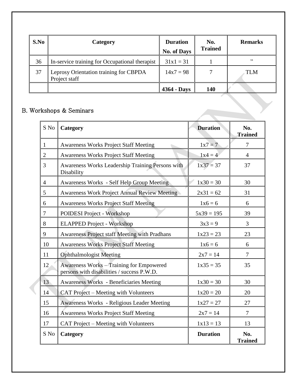| S.No | Category                                                | <b>Duration</b><br><b>No. of Days</b> | No.<br><b>Trained</b> | <b>Remarks</b> |
|------|---------------------------------------------------------|---------------------------------------|-----------------------|----------------|
| 36   | In-service training for Occupational therapist          | $31x1 = 31$                           |                       | , 2            |
| 37   | Leprosy Orientation training for CBPDA<br>Project staff | $14x7 = 98$                           |                       | TLM            |
|      |                                                         | 4364 - Days                           | 140                   |                |

### B. Workshops & Seminars

| S No           | Category                                                                                      | <b>Duration</b> | No.<br><b>Trained</b> |
|----------------|-----------------------------------------------------------------------------------------------|-----------------|-----------------------|
| $\mathbf{1}$   | <b>Awareness Works Project Staff Meeting</b>                                                  | $1x7 = 7$       | 7                     |
| $\overline{2}$ | <b>Awareness Works Project Staff Meeting</b>                                                  | $1x4 = 4$       | $\overline{4}$        |
| 3              | Awareness Works Leadership Training Persons with<br>Disability                                | $1x37 = 37$     | 37                    |
| $\overline{4}$ | <b>Awareness Works - Self Help Group Meeting</b>                                              | $1x30 = 30$     | 30                    |
| 5              | <b>Awareness Work Project Annual Review Meeting</b>                                           | $2x31 = 62$     | 31                    |
| 6              | <b>Awareness Works Project Staff Meeting</b>                                                  | $1x6 = 6$       | 6                     |
| $\overline{7}$ | POIDESI Project - Workshop                                                                    | $5x39 = 195$    | 39                    |
| 8              | <b>ELAPPED Project - Workshop</b>                                                             | $3x3 = 9$       | $\overline{3}$        |
| 9              | <b>Awareness Project staff Meeting with Pradhans</b>                                          | $1x23 = 23$     | 23                    |
| 10             | <b>Awareness Works Project Staff Meeting</b>                                                  | $1x6 = 6$       | 6                     |
| 11             | <b>Ophthalmologist Meeting</b>                                                                | $2x7 = 14$      | $\tau$                |
| 12             | <b>Awareness Works – Training for Empowered</b><br>persons with disabilities / success P.W.D. | $1x35 = 35$     | 35                    |
| 13             | <b>Awareness Works - Beneficiaries Meeting</b>                                                | $1x30 = 30$     | 30                    |
| 14             | CAT Project – Meeting with Volunteers                                                         | $1x20 = 20$     | 20                    |
| 15             | <b>Awareness Works - Religious Leader Meeting</b>                                             | $1x27 = 27$     | 27                    |
| 16             | <b>Awareness Works Project Staff Meeting</b>                                                  | $2x7 = 14$      | $\tau$                |
| 17             | CAT Project – Meeting with Volunteers                                                         | $1x13 = 13$     | 13                    |
| S No           | Category                                                                                      | <b>Duration</b> | No.<br><b>Trained</b> |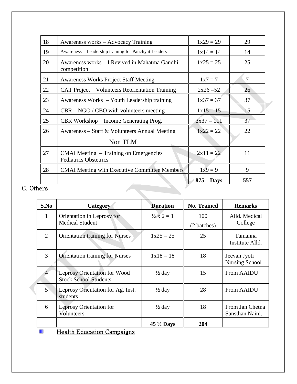| 18  | Awareness works – Advocacy Training                                    | $1x29 = 29$  | 29             |
|-----|------------------------------------------------------------------------|--------------|----------------|
| 19  | Awareness - Leadership training for Panchyat Leaders                   | $1x14 = 14$  | 14             |
| 20  | Awareness works – I Revived in Mahatma Gandhi<br>competition           | $1x25 = 25$  | 25             |
| 21  | <b>Awareness Works Project Staff Meeting</b>                           | $1x7 = 7$    | $\overline{7}$ |
| 22  | CAT Project – Volunteers Reorientation Training                        | $2x26 = 52$  | 26             |
| 23  | Awareness Works – Youth Leadership training                            | $1x37 = 37$  | 37             |
| 24  | $CBR - NGO / CBO$ with volunteers meeting                              | $1x15 = 15$  | 15             |
| 25  | CBR Workshop – Income Generating Prog.                                 | $3x37 = 111$ | 37             |
| 26  | Awareness - Staff & Volunteers Annual Meeting                          | $1x22 = 22$  | 22             |
|     | Non TLM                                                                |              |                |
| 27  | CMAI Meeting - Training on Emergencies<br><b>Pediatrics Obstetrics</b> | $2x11 = 22$  | 11             |
| 28  | <b>CMAI Meeting with Executive Committee Members</b>                   | $1x9 = 9$    | 9              |
|     |                                                                        | $875 - Days$ | 557            |
| ers |                                                                        |              |                |

### C. Others

| S.No           | Category                                                            | <b>Duration</b>            | <b>No. Trained</b> | <b>Remarks</b>                        |
|----------------|---------------------------------------------------------------------|----------------------------|--------------------|---------------------------------------|
| 1              | Orientation in Leprosy for                                          | $\frac{1}{2} \times 2 = 1$ | 100                | Alld. Medical                         |
|                | <b>Medical Student</b>                                              |                            | (2 batches)        | College                               |
| $\overline{2}$ | <b>Orientation training for Nurses</b>                              | $1x25 = 25$                | 25                 | Tamanna<br>Institute Alld.            |
| 3              | <b>Orientation training for Nurses</b>                              | $1x18 = 18$                | 18                 | Jeevan Jyoti<br><b>Nursing School</b> |
|                | <b>Leprosy Orientation for Wood</b><br><b>Stock School Students</b> | $\frac{1}{2}$ day          | 15                 | <b>From AAIDU</b>                     |
| $5^{\circ}$    | Leprosy Orientation for Ag. Inst.<br>students                       | $\frac{1}{2}$ day          | 28                 | <b>From AAIDU</b>                     |
| 6              | <b>Leprosy Orientation for</b><br>Volunteers                        | $\frac{1}{2}$ day          | 18                 | From Jan Chetna<br>Sansthan Naini.    |
|                |                                                                     | $45\frac{1}{2}$ Days       | 204                |                                       |
|                | <b>Health Education Campaigns</b>                                   |                            |                    |                                       |

Health Education Campaigns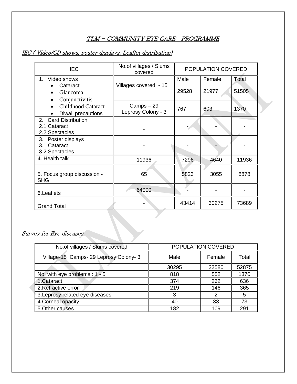### TLM - COMMUNITY EYE CARE PROGRAMME

### IEC ( Video/CD shows, poster displays, Leaflet distribution)

| <b>IEC</b>                                                         | No.of villages / Slums<br>covered | POPULATION COVERED |                 |                |
|--------------------------------------------------------------------|-----------------------------------|--------------------|-----------------|----------------|
| Video shows<br>$1 \quad$<br>Cataract<br>Glaucoma<br>Conjunctivitis | Villages covered - 15             | Male<br>29528      | Female<br>21977 | Total<br>51505 |
| <b>Childhood Cataract</b><br>$\bullet$<br>Diwali precautions       | Camps-29<br>Leprosy Colony - 3    | 767                | 603             | 1370           |
| 2. Card Distribution<br>2.1 Cataract<br>2.2 Spectacles             |                                   |                    |                 |                |
| 3. Poster displays<br>3.1 Cataract<br>3.2 Spectacles               |                                   |                    |                 |                |
| 4. Health talk                                                     | 11936                             | 7296               | 4640            | 11936          |
| 5. Focus group discussion -<br><b>SHG</b>                          | 65                                | 5823               | 3055            | 8878           |
| 6.Leaflets                                                         | 64000                             |                    |                 |                |
| <b>Grand Total</b>                                                 |                                   | 43414              | 30275           | 73689          |

#### Survey for Eye diseases:

| POPULATION COVERED<br>No.of villages / Slums covered |       |        |       |
|------------------------------------------------------|-------|--------|-------|
| Village-15 Camps- 29 Leprosy Colony- 3               | Male  | Female | Total |
|                                                      | 30295 | 22580  | 52875 |
| No. with eye problems : $1 - 5$                      | 818   | 552    | 1370  |
| 1. Cataract                                          | 374   | 262    | 636   |
| 2. Refractive error                                  | 219   | 146    | 365   |
| 3. Leprosy related eye diseases                      | 3     | 2      | 5     |
| 4. Corneal opacity                                   | 40    | 33     | 73    |
| 5. Other causes                                      | 182   | 109    | 291   |

**CONTRACTOR**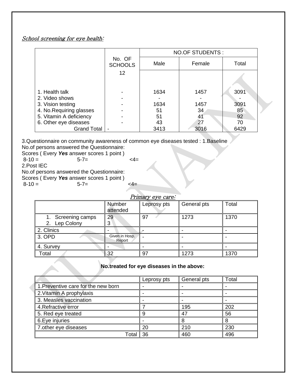### School screening for eye health:

|                          |                          | <b>NO.OF STUDENTS:</b> |        |       |  |
|--------------------------|--------------------------|------------------------|--------|-------|--|
|                          | No. OF<br><b>SCHOOLS</b> | Male                   | Female | Total |  |
|                          | 12                       |                        |        |       |  |
| 1. Health talk           |                          | 1634                   | 1457   | 3091  |  |
| 2. Video shows           |                          |                        |        |       |  |
| 3. Vision testing        |                          | 1634                   | 1457   | 3091  |  |
| 4. No. Requiring glasses |                          | 51                     | 34     | 85    |  |
| 5. Vitamin A deficiency  |                          | 51                     | 41     | 92    |  |
| 6. Other eye diseases    |                          | 43                     | 27     | 70    |  |
| <b>Grand Total</b>       |                          | 3413                   | 3016   | 6429  |  |

3.Questionnaire on community awareness of common eye diseases tested : 1.Baseline

No.of persons answered the Questionnaire: Scores ( Every *Yes* answer scores 1 point )<br>8-10 = 5-7=

8-10 = 5-7= <4=

2.Post IEC

No.of persons answered the Questionnaire:

Scores ( Every **Yes** answer scores 1 point )<br>8-10 = 5-7= 8-10 = 5-7= <4=

|                                  | гіштагу еуе саге         |             |             |       |  |
|----------------------------------|--------------------------|-------------|-------------|-------|--|
|                                  | Number<br>attended       | Leprosy pts | General pts | Total |  |
| Screening camps<br>2. Lep Colony | 29<br>3                  | 97          | 1273        | 1370  |  |
| 2. Clinics                       |                          |             |             |       |  |
| 3. OPD                           | Given in Hosp.<br>Report |             |             |       |  |
| 4. Survey                        |                          |             |             |       |  |
| Total                            | 32                       | 97          | 1273        | 1370  |  |

**No.treated for eye diseases in the above:**

|                                     | Leprosy pts | General pts | Total |
|-------------------------------------|-------------|-------------|-------|
| 1. Preventive care for the new born |             |             |       |
| 2. Vitamin A prophylaxis            |             |             |       |
| 3. Measles vaccination              |             |             |       |
| 4. Refractive error                 |             | 195         | 202   |
| 5. Red eye treated                  | a           | 47          | 56    |
| 6. Eye injuries                     |             |             |       |
| 7. other eye diseases               | 20          | 210         | 230   |
| Tota                                | 36          | 460         | 496   |

#### primary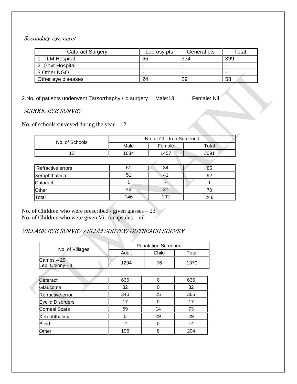### Secondary eye care:

| <b>Cataract Surgery</b> | Leprosy pts | General pts | $\tau$ otal |
|-------------------------|-------------|-------------|-------------|
| 1. TLM Hospital         | 65          | 334         | 399         |
| 2. Govt. Hospital       | -           |             |             |
| 3. Other NGO            |             |             |             |
| Other eye diseases      | 24          | 29          | 53          |

2.No. of patients underwent Tarsorrhaphy /lid surgery : Male:13 Female: Nil

#### SCHOOL EYE SURVEY

No. of schools surveyed during the year  $-12$ 

| No. of Schools |      | No. of Children Screened |       |
|----------------|------|--------------------------|-------|
|                | Male | Female                   | Total |
|                | 1634 | 1457                     | 3091  |

No. of Children who were prescribed / given glasses – 23 No. of Children who were given Vit A capsules – nil

### VILLAGE EYE SURVEY / SLUM SURVEY/ OUTREACH SURVEY

|                             | <b>Population Screened</b> |       |       |  |
|-----------------------------|----------------------------|-------|-------|--|
| No. of Villages             | Adult                      | Child | Total |  |
| Camps-29<br>Lep. Colony - 3 | 1294                       | 76    | 1370  |  |
|                             |                            |       |       |  |
| Cataract                    | 636                        | O     | 636   |  |
| Glaucoma                    | 32                         | በ     | 32    |  |
| Refractive error            | 340                        | 25    | 365   |  |
| <b>Eyelid Disorders</b>     | 17                         | Ω     | 17    |  |
| <b>Corneal Scars</b>        | 59                         | 14    | 73    |  |
| Xerophthalmia               | 0                          | 29    | 29    |  |
| <b>Blind</b>                | 14                         |       | 14    |  |
| Other                       | 196                        | 8     | 204   |  |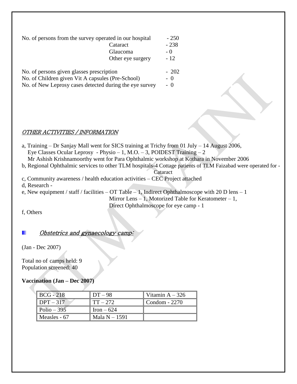| No. of persons from the survey operated in our hospital |                   | $-250$ |
|---------------------------------------------------------|-------------------|--------|
|                                                         | Cataract          | $-238$ |
|                                                         | Glaucoma          | $-()$  |
|                                                         | Other eye surgery | $-12$  |
| No. of persons given glasses prescription               |                   | $-202$ |
| No of Children given Vit A capsules ( $Pre-School$ )    |                   |        |

No. of Children given Vit A capsules (Pre-School) No. of New Leprosy cases detected during the eye survey - 0

#### OTHER ACTIVITIES / INFORMATION

a, Training – Dr Sanjay Mall went for SICS training at Trichy from 01 July – 14 August 2006, Eye Classes Ocular Leprosy - Physio – 1, M.O. – 3, POIDEST Training – 2 Mr Ashish Krishnamoorthy went for Para Ophthalmic workshop at Kothara in November 2006 b, Regional Ophthalmic services to other TLM hospitals-4 Cottage patients of TLM Faizabad were operated for - Cataract c, Community awareness / health education activities – CEC Project attached d, Research e, New equipment / staff / facilities – OT Table – 1, Indirect Ophthalmoscope with 20 D lens – 1 Mirror Lens  $-1$ , Motorized Table for Keratometer  $-1$ ,

Direct Ophthalmoscope for eye camp - 1

f, Others

### Obstetrics and gynaecology camp:

(Jan - Dec 2007)

Total no of camps held: 9 Population screened: 40

#### **Vaccination (Jan – Dec 2007)**

| <b>BCG</b> - 218 | $DT-98$       | Vitamin $A - 326$ |
|------------------|---------------|-------------------|
| $DPT-317$        | $TT - 272$    | Condom - 2270     |
| $Polio - 395$    | $Iron - 624$  |                   |
| Measles $-67$    | Mala $N-1591$ |                   |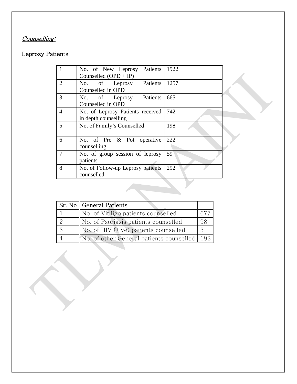# Counselling:

## Leprosy Patients

|                | No. of New Leprosy Patients 1922<br>Counselled $(OPD + IP)$  |     |
|----------------|--------------------------------------------------------------|-----|
| 2              | No. of Leprosy Patients 1257<br>Counselled in OPD            |     |
| 3              | No. of Leprosy Patients 665<br>Counselled in OPD             |     |
| $\overline{4}$ | No. of Leprosy Patients received 742<br>in depth counselling |     |
| 5              | No. of Family's Counselled                                   | 198 |
| 6              | No. of Pre & Pot operative<br>counselling                    | 222 |
| 7              | No. of group session of leprosy<br>patients                  | 59  |
| 8              | No. of Follow-up Leprosy patients<br>counselled              | 292 |

|   | Sr. No   General Patients                    |    |
|---|----------------------------------------------|----|
|   | No. of Vitiligo patients counselled          |    |
|   | No. of Psoriasis patients counselled         | 98 |
| 3 | No. of HIV $(+ve)$ patients counselled       |    |
|   | No. of other General patients counselled 192 |    |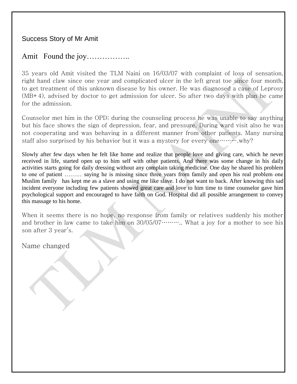Success Story of Mr Amit

## Amit Found the joy……………..

35 years old Amit visited the TLM Naini on 16/03/07 with complaint of loss of sensation, right hand claw since one year and complicated ulcer in the left great toe since four month, to get treatment of this unknown disease by his owner. He was diagnosed a case of Leprosy (MB+4), advised by doctor to get admission for ulcer. So after two days with plan he came for the admission.

Counselor met him in the OPD; during the counseling process he was unable to say anything but his face shows the sign of depression, fear, and pressure. During ward visit also he was not cooperating and was behaving in a different manner from other patients. Many nursing staff also surprised by his behavior but it was a mystery for every one……….why?

Slowly after few days when he felt like home and realize that people love and giving care, which he never received in life, started open up to him self with other patients. And there was some change in his daily activities starts going for daily dressing without any complain taking medicine. One day he shared his problem to one of patient ……… saying he is missing since three years from family and open his real problem one Muslim family has kept me as a slave and using me like slave. I do not want to back. After knowing this sad incident everyone including few patients showed great care and love to him time to time counselor gave him psychological support and encouraged to have faith on God. Hospital did all possible arrangement to convey this massage to his home.

When it seems there is no hope, no response from family or relatives suddenly his mother and brother in law came to take him on  $30/05/07$  ……….. What a joy for a mother to see his son after 3 year's.

Name changed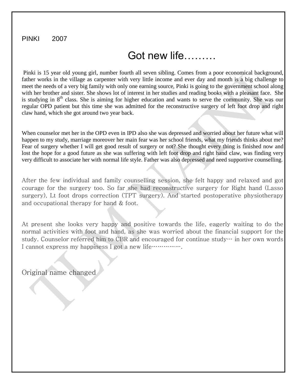### PINKI <sup>2007</sup>

# Got new life………

Pinki is 15 year old young girl, number fourth all seven sibling. Comes from a poor economical background, father works in the village as carpenter with very little income and ever day and month is a big challenge to meet the needs of a very big family with only one earning source, Pinki is going to the government school along with her brother and sister. She shows lot of interest in her studies and reading books with a pleasant face. She is studying in  $8<sup>th</sup>$  class. She is aiming for higher education and wants to serve the community. She was our regular OPD patient but this time she was admitted for the reconstructive surgery of left foot drop and right claw hand, which she got around two year back.

When counselor met her in the OPD even in IPD also she was depressed and worried about her future what will happen to my study, marriage moreover her main fear was her school friends, what my friends thinks about me? Fear of surgery whether I will get good result of surgery or not? She thought every thing is finished now and lost the hope for a good future as she was suffering with left foot drop and right hand claw, was finding very very difficult to associate her with normal life style. Father was also depressed and need supportive counselling.

After the few individual and family counselling session, she felt happy and relaxed and got courage for the surgery too. So far she had reconstructive surgery for Right hand (Lasso surgery), Lt foot drops correction (TPT surgery). And started postoperative physiotherapy and occupational therapy for hand & foot.

At present she looks very happy and positive towards the life, eagerly waiting to do the normal activities with foot and hand, as she was worried about the financial support for the study. Counselor referred him to CBR and encouraged for continue study… in her own words I cannot express my happiness I got a new life…………….

Original name changed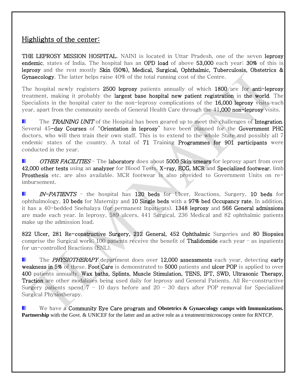## Highlights of the center:

THE LEPROSY MISSION HOSPITAL, NAINI is located in Uttar Pradesh, one of the seven leprosy endemic, states of India. The hospital has an OPD load of above 53,000 each year; 30% of this is leprosy and the rest mostly Skin (50%), Medical, Surgical, Ophthalmic, Tuberculosis, Obstetrics & Gynaecology. The latter helps raise 40% of the total running cost of the Centre.

The hospital newly registers 2500 leprosy patients annually of which 1800 are for anti-leprosy treatment, making it probably the largest base hospital new patient registration in the world. The Specialists in the hospital cater to the non-leprosy complications of the 16,000 leprosy visits each year, apart from the community needs of General Health Care through the 41,000 non-leprosy visits.

The TRAINING UNIT of the Hospital has been geared up to meet the challenges of Integration. Several 45-day Courses of "Orientation in leprosy" have been planned for the Government PHC doctors, who will then train their own staff. This is to extend to the whole State and possibly all 7 endemic states of the country. A total of 71 Training Programmes for 901 participants were conducted in the year.

OTHER FACILITIES – The laboratory does about 5000 Skin smears for leprosy apart from over 42,000 other tests using an analyzer for Blood Tests. X-ray, ECG, MCR and Specialized footwear, limb Prosthesis etc. are also available. MCR footwear is also provided to Government Units on reimbursement.

IN-PATIENTS - the hospital has 120 beds for Ulcer, Reactions, Surgery, 10 beds for ophthalmology, 10 beds for Maternity and 10 Single beds with a 97% bed Occupancy rate. In addition, it has a 40-bedded Snehalaya (for permanent Inpatients). 1348 leprosy and 566 General admissions are made each year. In leprosy, 589 ulcers, 441 Surgical, 236 Medical and 82 ophthalmic patients make up the admission load.

822 Ulcer, 281 Re-constructive Surgery, 212 General, 452 Ophthalmic Surgeries and 80 Biopsies comprise the Surgical work; 100 patients receive the benefit of **Thalidomide** each year  $-$  as inpatients for un-controlled Reactions (ENL).

The *PHYSIOTHERAPY* department does over 12,000 assessments each year, detecting early weakness in 5% of these. Foot Care is demonstrated to 5000 patients and ulcer POP is applied to over 400 patients annually. Wax baths, Splints, Muscle Stimulation, TENS, IFT, SWD, Ultrasonic Therapy, Traction are other modalities being used daily for leprosy and General Patients. All Re-constructive Surgery patients spend  $7 - 10$  days before and  $20 - 30$  days after POP removal for Specialized Surgical Physiotherapy.

We have a Community Eye Care program and **Obstetrics & Gynaecology camps with Immunizations***.* . **Partnership** with the Govt. & UNICEF for the latter and an active role as a treatment/microscopy centre for RNTCP.